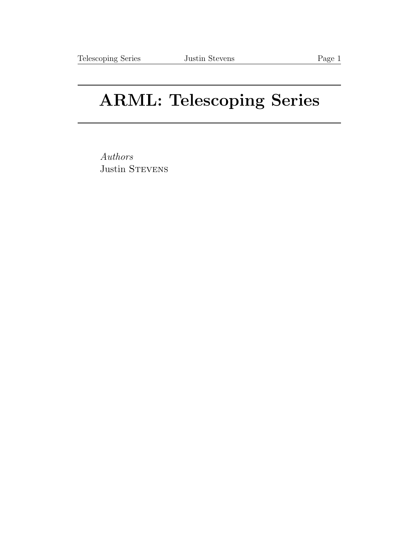## ARML: Telescoping Series

Authors Justin STEVENS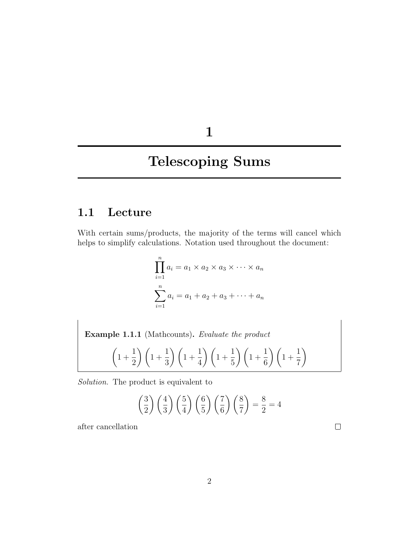1

## Telescoping Sums

## 1.1 Lecture

With certain sums/products, the majority of the terms will cancel which helps to simplify calculations. Notation used throughout the document:

$$
\prod_{i=1}^{n} a_i = a_1 \times a_2 \times a_3 \times \dots \times a_n
$$

$$
\sum_{i=1}^{n} a_i = a_1 + a_2 + a_3 + \dots + a_n
$$

Example 1.1.1 (Mathcounts). Evaluate the product  $\ddot{\phantom{1}}$  $\overline{1}$  $\overline{1}$ 

$$
\left(1+\frac{1}{2}\right)\left(1+\frac{1}{3}\right)\left(1+\frac{1}{4}\right)\left(1+\frac{1}{5}\right)\left(1+\frac{1}{6}\right)\left(1+\frac{1}{7}\right)
$$

Solution. The product is equivalent to

$$
\left(\frac{3}{2}\right)\left(\frac{4}{3}\right)\left(\frac{5}{4}\right)\left(\frac{6}{5}\right)\left(\frac{7}{6}\right)\left(\frac{8}{7}\right) = \frac{8}{2} = 4
$$

after cancellation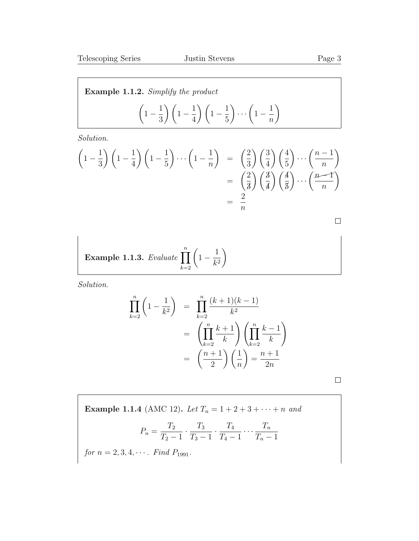n  $\setminus$ 

Example 1.1.2. Simplify the product  $\sqrt{ }$  $1-\frac{1}{2}$ 3  $\bigg(1-\frac{1}{4}\bigg)$ 4  $\left(1-\frac{1}{5}\right)$ 5  $\bigg) \ldots \bigg( 1 - \frac{1}{n} \bigg)$ 

Solution.

$$
\left(1 - \frac{1}{3}\right)\left(1 - \frac{1}{4}\right)\left(1 - \frac{1}{5}\right)\cdots\left(1 - \frac{1}{n}\right) = \left(\frac{2}{3}\right)\left(\frac{3}{4}\right)\left(\frac{4}{5}\right)\cdots\left(\frac{n-1}{n}\right)
$$

$$
= \left(\frac{2}{3}\right)\left(\frac{3}{4}\right)\left(\frac{4}{5}\right)\cdots\left(\frac{n-1}{n}\right)
$$

$$
= \frac{2}{n}
$$

 $\hfill \square$ 

**Example 1.1.3.** Evaluate 
$$
\prod_{k=2}^{n} \left(1 - \frac{1}{k^2}\right)
$$

Solution.

$$
\prod_{k=2}^{n} \left(1 - \frac{1}{k^2}\right) = \prod_{k=2}^{n} \frac{(k+1)(k-1)}{k^2}
$$
\n
$$
= \left(\prod_{k=2}^{n} \frac{k+1}{k}\right) \left(\prod_{k=2}^{n} \frac{k-1}{k}\right)
$$
\n
$$
= \left(\frac{n+1}{2}\right) \left(\frac{1}{n}\right) = \frac{n+1}{2n}
$$

 $\Box$ 

Example 1.1.4 (AMC 12). Let  $T_n = 1 + 2 + 3 + \cdots + n$  and

$$
P_n = \frac{T_2}{T_2 - 1} \cdot \frac{T_3}{T_3 - 1} \cdot \frac{T_4}{T_4 - 1} \cdots \frac{T_n}{T_n - 1}
$$

for  $n = 2, 3, 4, \cdots$ . Find  $P_{1991}$ .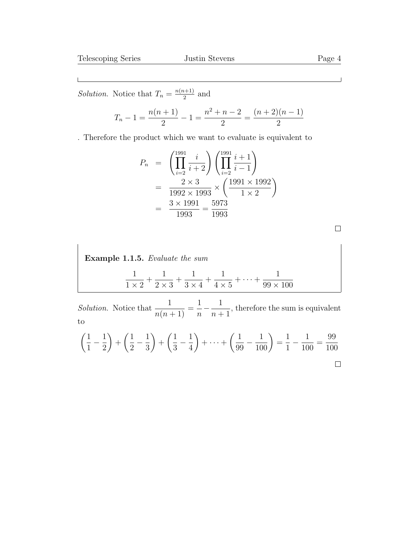*Solution*. Notice that  $T_n = \frac{n(n+1)}{2}$  $\frac{a+1}{2}$  and

$$
T_n - 1 = \frac{n(n+1)}{2} - 1 = \frac{n^2 + n - 2}{2} = \frac{(n+2)(n-1)}{2}
$$

. Therefore the product which we want to evaluate is equivalent to

$$
P_n = \left(\prod_{i=2}^{1991} \frac{i}{i+2}\right) \left(\prod_{i=2}^{1991} \frac{i+1}{i-1}\right)
$$
  
= 
$$
\frac{2 \times 3}{1992 \times 1993} \times \left(\frac{1991 \times 1992}{1 \times 2}\right)
$$
  
= 
$$
\frac{3 \times 1991}{1993} = \frac{5973}{1993}
$$

Example 1.1.5. Evaluate the sum  
\n
$$
\frac{1}{1 \times 2} + \frac{1}{2 \times 3} + \frac{1}{3 \times 4} + \frac{1}{4 \times 5} + \dots + \frac{1}{99 \times 100}
$$

*Solution*. Notice that  $\frac{1}{\sqrt{1}}$  $\frac{1}{n(n+1)} =$ 1  $\overline{n}$  $-\frac{1}{\sqrt{2}}$  $n+1$ , therefore the sum is equivalent to

$$
\left(\frac{1}{1} - \frac{1}{2}\right) + \left(\frac{1}{2} - \frac{1}{3}\right) + \left(\frac{1}{3} - \frac{1}{4}\right) + \dots + \left(\frac{1}{99} - \frac{1}{100}\right) = \frac{1}{1} - \frac{1}{100} = \frac{99}{100}
$$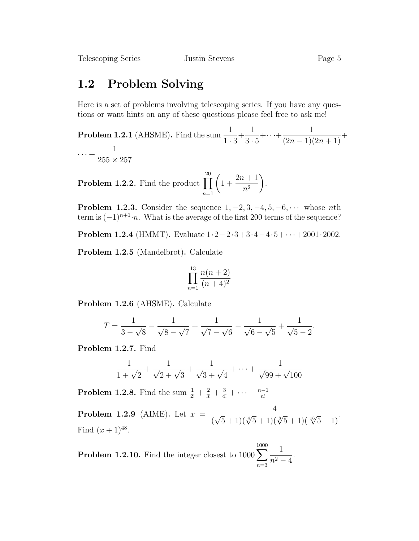## 1.2 Problem Solving

Here is a set of problems involving telescoping series. If you have any questions or want hints on any of these questions please feel free to ask me!

**Problem 1.2.1** (AHSME). Find the sum  $\frac{1}{1}$  $1 \cdot 3$  $+$ 1  $3 \cdot 5$  $+\cdots+\frac{1}{(2-1)!}$  $\frac{1}{(2n-1)(2n+1)} +$  $\cdots + \frac{1}{255}$  $255 \times 257$ 

**Problem 1.2.2.** Find the product  $\prod$ 20  $n=1$  $\sqrt{ }$  $1 +$  $2n + 1$  $n<sup>2</sup>$  $\setminus$ .

**Problem 1.2.3.** Consider the sequence  $1, -2, 3, -4, 5, -6, \cdots$  whose nth term is  $(-1)^{n+1} \cdot n$ . What is the average of the first 200 terms of the sequence?

Problem 1.2.4 (HMMT). Evaluate 1·2−2·3+3·4−4·5+· · ·+2001·2002.

Problem 1.2.5 (Mandelbrot). Calculate

$$
\prod_{n=1}^{13} \frac{n(n+2)}{(n+4)^2}
$$

Problem 1.2.6 (AHSME). Calculate

$$
T = \frac{1}{3 - \sqrt{8}} - \frac{1}{\sqrt{8} - \sqrt{7}} + \frac{1}{\sqrt{7} - \sqrt{6}} - \frac{1}{\sqrt{6} - \sqrt{5}} + \frac{1}{\sqrt{5} - 2}.
$$

Problem 1.2.7. Find

$$
\frac{1}{1+\sqrt{2}} + \frac{1}{\sqrt{2}+\sqrt{3}} + \frac{1}{\sqrt{3}+\sqrt{4}} + \dots + \frac{1}{\sqrt{99}+\sqrt{100}}
$$

**Problem 1.2.8.** Find the sum  $\frac{1}{2!} + \frac{2}{3!} + \frac{3}{4!} + \cdots + \frac{n-1}{n!}$ n!

**Problem 1.2.9** (AIME). Let  $x =$ 4 (  $\frac{1}{\sqrt{5}+1(\sqrt[4]{5}+1)(\sqrt[8]{5}+1)(\sqrt[16]{5}+1)}$ . Find  $(x+1)^{48}$ .

**Problem 1.2.10.** Find the integer closest to  $1000\sum$ 1000  $n=3$ 1  $\frac{1}{n^2-4}$ .